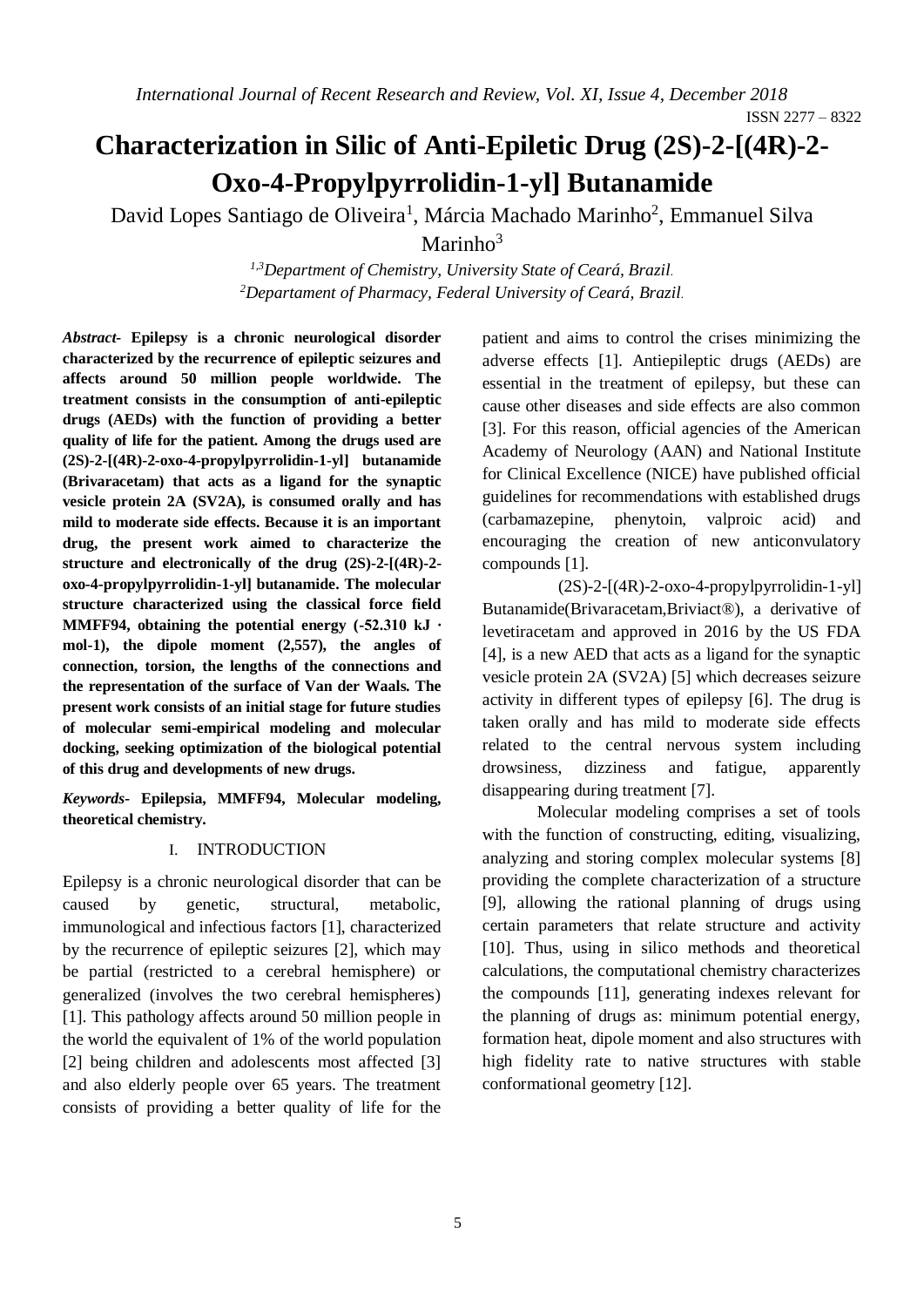# **Characterization in Silic of Anti-Epiletic Drug (2S)-2-[(4R)-2- Oxo-4-Propylpyrrolidin-1-yl] Butanamide**

David Lopes Santiago de Oliveira<sup>1</sup>, Márcia Machado Marinho<sup>2</sup>, Emmanuel Silva

Marinho $3$ 

*1,3Department of Chemistry, University State of Ceará, Brazil. <sup>2</sup>Departament of Pharmacy, Federal University of Ceará, Brazil.*

*Abstract-* **Epilepsy is a chronic neurological disorder characterized by the recurrence of epileptic seizures and affects around 50 million people worldwide. The treatment consists in the consumption of anti-epileptic drugs (AEDs) with the function of providing a better quality of life for the patient. Among the drugs used are (2S)-2-[(4R)-2-oxo-4-propylpyrrolidin-1-yl] butanamide (Brivaracetam) that acts as a ligand for the synaptic vesicle protein 2A (SV2A), is consumed orally and has mild to moderate side effects. Because it is an important drug, the present work aimed to characterize the structure and electronically of the drug (2S)-2-[(4R)-2 oxo-4-propylpyrrolidin-1-yl] butanamide. The molecular structure characterized using the classical force field MMFF94, obtaining the potential energy (-52.310 kJ ∙ mol-1), the dipole moment (2,557), the angles of connection, torsion, the lengths of the connections and the representation of the surface of Van der Waals. The present work consists of an initial stage for future studies of molecular semi-empirical modeling and molecular docking, seeking optimization of the biological potential of this drug and developments of new drugs.**

*Keywords-* **Epilepsia, MMFF94, Molecular modeling, theoretical chemistry.**

# I. INTRODUCTION

Epilepsy is a chronic neurological disorder that can be caused by genetic, structural, metabolic, immunological and infectious factors [1], characterized by the recurrence of epileptic seizures [2], which may be partial (restricted to a cerebral hemisphere) or generalized (involves the two cerebral hemispheres) [1]. This pathology affects around 50 million people in the world the equivalent of 1% of the world population [2] being children and adolescents most affected [3] and also elderly people over 65 years. The treatment consists of providing a better quality of life for the patient and aims to control the crises minimizing the adverse effects [1]. Antiepileptic drugs (AEDs) are essential in the treatment of epilepsy, but these can cause other diseases and side effects are also common [3]. For this reason, official agencies of the American Academy of Neurology (AAN) and National Institute for Clinical Excellence (NICE) have published official guidelines for recommendations with established drugs (carbamazepine, phenytoin, valproic acid) and encouraging the creation of new anticonvulatory compounds [1].

 $(2S)$ -2- $[(4R)$ -2-oxo-4-propylpyrrolidin-1-yl] Butanamide(Brivaracetam,Briviact®), a derivative of levetiracetam and approved in 2016 by the US FDA [4], is a new AED that acts as a ligand for the synaptic vesicle protein 2A (SV2A) [5] which decreases seizure activity in different types of epilepsy [6]. The drug is taken orally and has mild to moderate side effects related to the central nervous system including drowsiness, dizziness and fatigue, apparently disappearing during treatment [7].

Molecular modeling comprises a set of tools with the function of constructing, editing, visualizing, analyzing and storing complex molecular systems [8] providing the complete characterization of a structure [9], allowing the rational planning of drugs using certain parameters that relate structure and activity [10]. Thus, using in silico methods and theoretical calculations, the computational chemistry characterizes the compounds [11], generating indexes relevant for the planning of drugs as: minimum potential energy, formation heat, dipole moment and also structures with high fidelity rate to native structures with stable conformational geometry [12].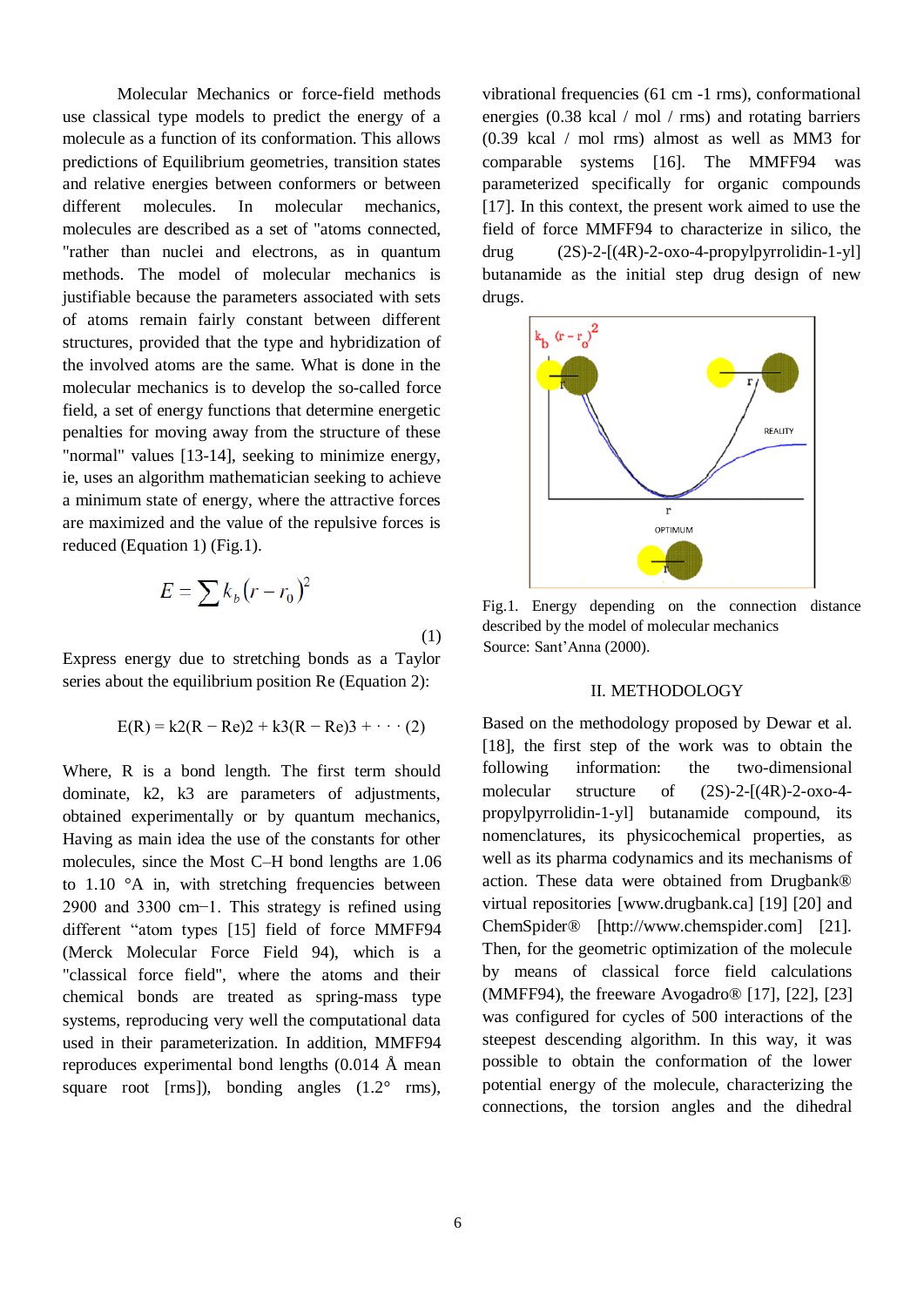Molecular Mechanics or force-field methods use classical type models to predict the energy of a molecule as a function of its conformation. This allows predictions of Equilibrium geometries, transition states and relative energies between conformers or between different molecules. In molecular mechanics, molecules are described as a set of "atoms connected, "rather than nuclei and electrons, as in quantum methods. The model of molecular mechanics is justifiable because the parameters associated with sets of atoms remain fairly constant between different structures, provided that the type and hybridization of the involved atoms are the same. What is done in the molecular mechanics is to develop the so-called force field, a set of energy functions that determine energetic penalties for moving away from the structure of these "normal" values [13-14], seeking to minimize energy, ie, uses an algorithm mathematician seeking to achieve a minimum state of energy, where the attractive forces are maximized and the value of the repulsive forces is reduced (Equation 1) (Fig.1).

$$
E = \sum k_b (r - r_0)^2
$$
  
every due to stretching bonds as a T

Express energy due to stretching bonds as a Taylor series about the equilibrium position Re (Equation 2):

$$
E(R) = k2(R - Re)2 + k3(R - Re)3 + \cdots (2)
$$

Where, R is a bond length. The first term should dominate, k2, k3 are parameters of adjustments, obtained experimentally or by quantum mechanics, Having as main idea the use of the constants for other molecules, since the Most C–H bond lengths are 1.06 to  $1.10$   $\degree$ A in, with stretching frequencies between 2900 and 3300 cm−1. This strategy is refined using different "atom types [15] field of force MMFF94 (Merck Molecular Force Field 94), which is a "classical force field", where the atoms and their chemical bonds are treated as spring-mass type systems, reproducing very well the computational data used in their parameterization. In addition, MMFF94 reproduces experimental bond lengths (0.014 Å mean square root [rms]), bonding angles  $(1.2^{\circ}$  rms),

vibrational frequencies (61 cm -1 rms), conformational energies (0.38 kcal / mol / rms) and rotating barriers (0.39 kcal / mol rms) almost as well as MM3 for comparable systems [16]. The MMFF94 was parameterized specifically for organic compounds [17]. In this context, the present work aimed to use the field of force MMFF94 to characterize in silico, the drug  $(2S)$ -2- $[(4R)$ -2-oxo-4-propylpyrrolidin-1-yl butanamide as the initial step drug design of new drugs.



Fig.1. Energy depending on the connection distance described by the model of molecular mechanics Source: Sant'Anna (2000).

## II. METHODOLOGY

Based on the methodology proposed by Dewar et al. [18], the first step of the work was to obtain the following information: the two-dimensional molecular structure of (2S)-2-[(4R)-2-oxo-4 propylpyrrolidin-1-yl] butanamide compound, its nomenclatures, its physicochemical properties, as well as its pharma codynamics and its mechanisms of action. These data were obtained from Drugbank® virtual repositories [www.drugbank.ca] [19] [20] and ChemSpider® [http://www.chemspider.com] [21]. Then, for the geometric optimization of the molecule by means of classical force field calculations (MMFF94), the freeware Avogadro® [17], [22], [23] was configured for cycles of 500 interactions of the steepest descending algorithm. In this way, it was possible to obtain the conformation of the lower potential energy of the molecule, characterizing the connections, the torsion angles and the dihedral

(1)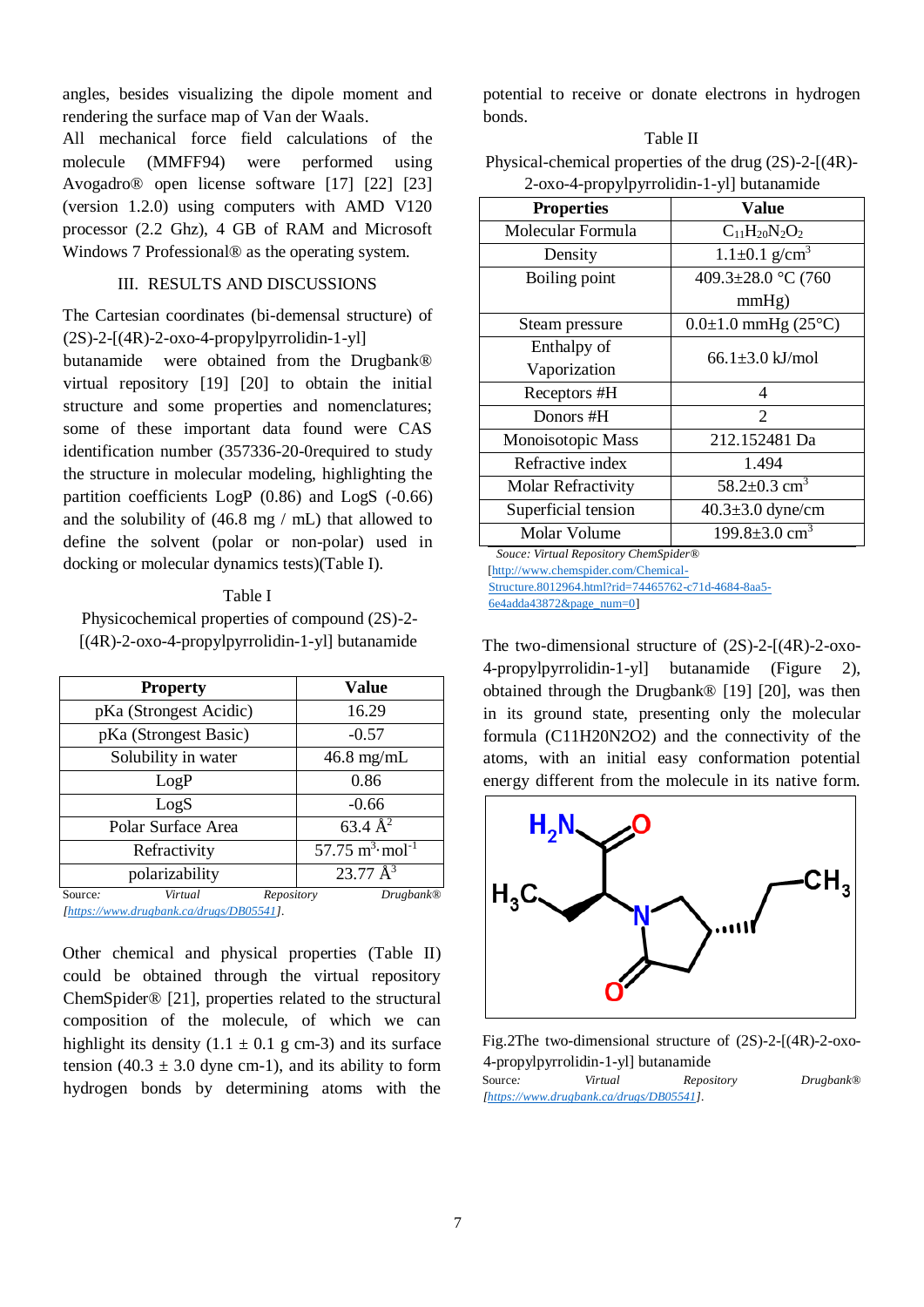angles, besides visualizing the dipole moment and rendering the surface map of Van der Waals.

All mechanical force field calculations of the molecule (MMFF94) were performed using Avogadro® open license software [17] [22] [23] (version 1.2.0) using computers with AMD V120 processor (2.2 Ghz), 4 GB of RAM and Microsoft Windows 7 Professional® as the operating system.

# III. RESULTS AND DISCUSSIONS

The Cartesian coordinates (bi-demensal structure) of  $(2S)$ -2- $[(4R)$ -2-oxo-4-propylpyrrolidin-1-yl]

butanamide were obtained from the Drugbank® virtual repository [19] [20] to obtain the initial structure and some properties and nomenclatures; some of these important data found were CAS identification number (357336-20-0required to study the structure in molecular modeling, highlighting the partition coefficients LogP (0.86) and LogS (-0.66) and the solubility of (46.8 mg / mL) that allowed to define the solvent (polar or non-polar) used in docking or molecular dynamics tests)(Table I).

# Table I Physicochemical properties of compound (2S)-2-

[(4R)-2-oxo-4-propylpyrrolidin-1-yl] butanamide

| <b>Property</b>        | Value                          |
|------------------------|--------------------------------|
| pKa (Strongest Acidic) | 16.29                          |
| pKa (Strongest Basic)  | $-0.57$                        |
| Solubility in water    | $46.8$ mg/mL                   |
| LogP                   | 0.86                           |
| LogS                   | $-0.66$                        |
| Polar Surface Area     | $63.4 \text{ Å}^2$             |
| Refractivity           | 57.75 $m^3$ ·mol <sup>-1</sup> |
| polarizability         | $23.77 \text{ Å}^3$            |
| Virtual<br>Source:     | Drugbank@<br>Repository        |

*[\[https://www.drugbank.ca/drugs/DB05541\]](https://www.drugbank.ca/drugs/DB05541).*

Other chemical and physical properties (Table II) could be obtained through the virtual repository ChemSpider® [21], properties related to the structural composition of the molecule, of which we can highlight its density  $(1.1 \pm 0.1 \text{ g cm-3})$  and its surface tension (40.3  $\pm$  3.0 dyne cm-1), and its ability to form hydrogen bonds by determining atoms with the

potential to receive or donate electrons in hydrogen bonds.

#### Table II

Physical-chemical properties of the drug (2S)-2-[(4R)- 2-oxo-4-propylpyrrolidin-1-yl] butanamide

| <b>Properties</b>                     | Value                                |  |  |  |  |
|---------------------------------------|--------------------------------------|--|--|--|--|
| Molecular Formula                     | $C_{11}H_{20}N_2O_2$                 |  |  |  |  |
| Density                               | $1.1 \pm 0.1$ g/cm <sup>3</sup>      |  |  |  |  |
| Boiling point                         | 409.3±28.0 °C (760                   |  |  |  |  |
|                                       | mmHg)                                |  |  |  |  |
| Steam pressure                        | $0.0 \pm 1.0$ mmHg (25 $^{\circ}$ C) |  |  |  |  |
| Enthalpy of                           |                                      |  |  |  |  |
| Vaporization                          | $66.1 \pm 3.0 \text{ kJ/mol}$        |  |  |  |  |
| Receptors #H                          | 4                                    |  |  |  |  |
| Donors #H                             | $\mathcal{D}_{\mathcal{L}}$          |  |  |  |  |
| Monoisotopic Mass                     | 212.152481 Da                        |  |  |  |  |
| Refractive index                      | 1.494                                |  |  |  |  |
| <b>Molar Refractivity</b>             | 58.2 $\pm$ 0.3 cm <sup>3</sup>       |  |  |  |  |
| Superficial tension                   | $40.3 \pm 3.0$ dyne/cm               |  |  |  |  |
| Molar Volume                          | $199.8 \pm 3.0$ cm <sup>3</sup>      |  |  |  |  |
| Souce: Virtual Repository ChemSpider® |                                      |  |  |  |  |

[\[http://www.chemspider.com/Chemical-](http://www.chemspider.com/Chemical-Structure.8012964.html?rid=74465762-c71d-4684-8aa5-6e4adda43872&page_num=0)

[Structure.8012964.html?rid=74465762-c71d-4684-8aa5-](http://www.chemspider.com/Chemical-Structure.8012964.html?rid=74465762-c71d-4684-8aa5-6e4adda43872&page_num=0) [6e4adda43872&page\\_num=0\]](http://www.chemspider.com/Chemical-Structure.8012964.html?rid=74465762-c71d-4684-8aa5-6e4adda43872&page_num=0)

The two-dimensional structure of (2S)-2-[(4R)-2-oxo-4-propylpyrrolidin-1-yl] butanamide (Figure 2), obtained through the Drugbank® [19] [20], was then in its ground state, presenting only the molecular formula (C11H20N2O2) and the connectivity of the atoms, with an initial easy conformation potential energy different from the molecule in its native form.



Fig.2The two-dimensional structure of (2S)-2-[(4R)-2-oxo-4-propylpyrrolidin-1-yl] butanamide Source*: Virtual Repository Drugbank® [\[https://www.drugbank.ca/drugs/DB05541\]](https://www.drugbank.ca/drugs/DB05541).*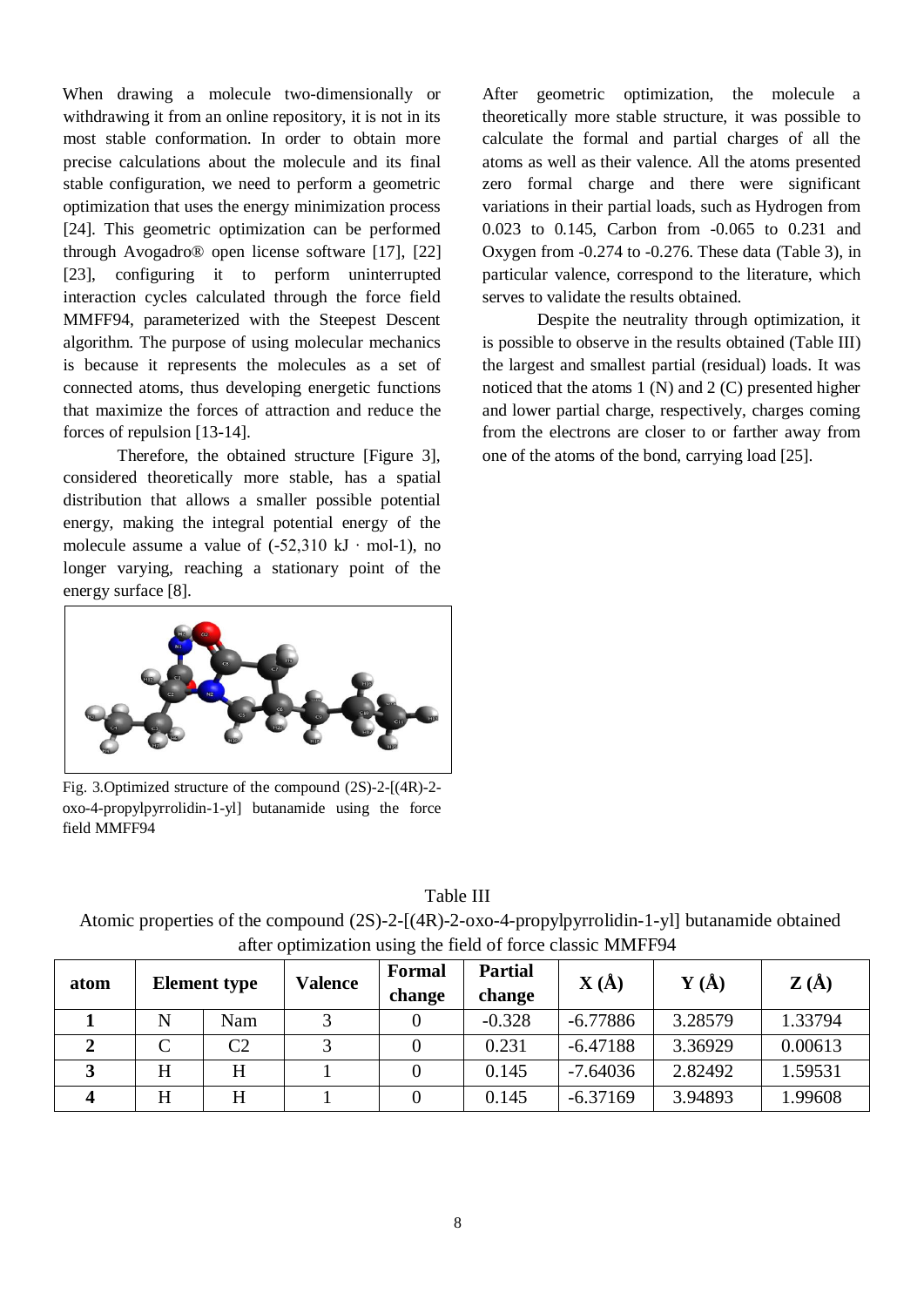When drawing a molecule two-dimensionally or withdrawing it from an online repository, it is not in its most stable conformation. In order to obtain more precise calculations about the molecule and its final stable configuration, we need to perform a geometric optimization that uses the energy minimization process [24]. This geometric optimization can be performed through Avogadro® open license software [17], [22] [23], configuring it to perform uninterrupted interaction cycles calculated through the force field MMFF94, parameterized with the Steepest Descent algorithm. The purpose of using molecular mechanics is because it represents the molecules as a set of connected atoms, thus developing energetic functions that maximize the forces of attraction and reduce the forces of repulsion [13-14].

Therefore, the obtained structure [Figure 3], considered theoretically more stable, has a spatial distribution that allows a smaller possible potential energy, making the integral potential energy of the molecule assume a value of  $(-52,310 \text{ kJ} \cdot \text{mol-1})$ , no longer varying, reaching a stationary point of the energy surface [8].



Fig. 3.Optimized structure of the compound (2S)-2-[(4R)-2 oxo-4-propylpyrrolidin-1-yl] butanamide using the force field MMFF94

After geometric optimization, the molecule a theoretically more stable structure, it was possible to calculate the formal and partial charges of all the atoms as well as their valence. All the atoms presented zero formal charge and there were significant variations in their partial loads, such as Hydrogen from 0.023 to 0.145, Carbon from -0.065 to 0.231 and Oxygen from -0.274 to -0.276. These data (Table 3), in particular valence, correspond to the literature, which serves to validate the results obtained.

Despite the neutrality through optimization, it is possible to observe in the results obtained (Table III) the largest and smallest partial (residual) loads. It was noticed that the atoms 1 (N) and 2 (C) presented higher and lower partial charge, respectively, charges coming from the electrons are closer to or farther away from one of the atoms of the bond, carrying load [25].

| Table III |  |
|-----------|--|
|-----------|--|

Atomic properties of the compound (2S)-2-[(4R)-2-oxo-4-propylpyrrolidin-1-yl] butanamide obtained after optimization using the field of force classic MMFF94

| atom |   | <b>Element type</b> | <b>Valence</b> | Formal<br>change | <b>Partial</b><br>change | $\mathbf{X}(\AA)$ | $\mathbf{Y}(\mathbf{A})$ | $\mathbf{Z}(\mathbf{A})$ |
|------|---|---------------------|----------------|------------------|--------------------------|-------------------|--------------------------|--------------------------|
|      | N | Nam                 |                |                  | $-0.328$                 | $-6.77886$        | 3.28579                  | 1.33794                  |
|      |   | C2                  |                |                  | 0.231                    | $-6.47188$        | 3.36929                  | 0.00613                  |
|      | H | H                   |                |                  | 0.145                    | $-7.64036$        | 2.82492                  | 1.59531                  |
| 4    | H | H                   |                |                  | 0.145                    | $-6.37169$        | 3.94893                  | 1.99608                  |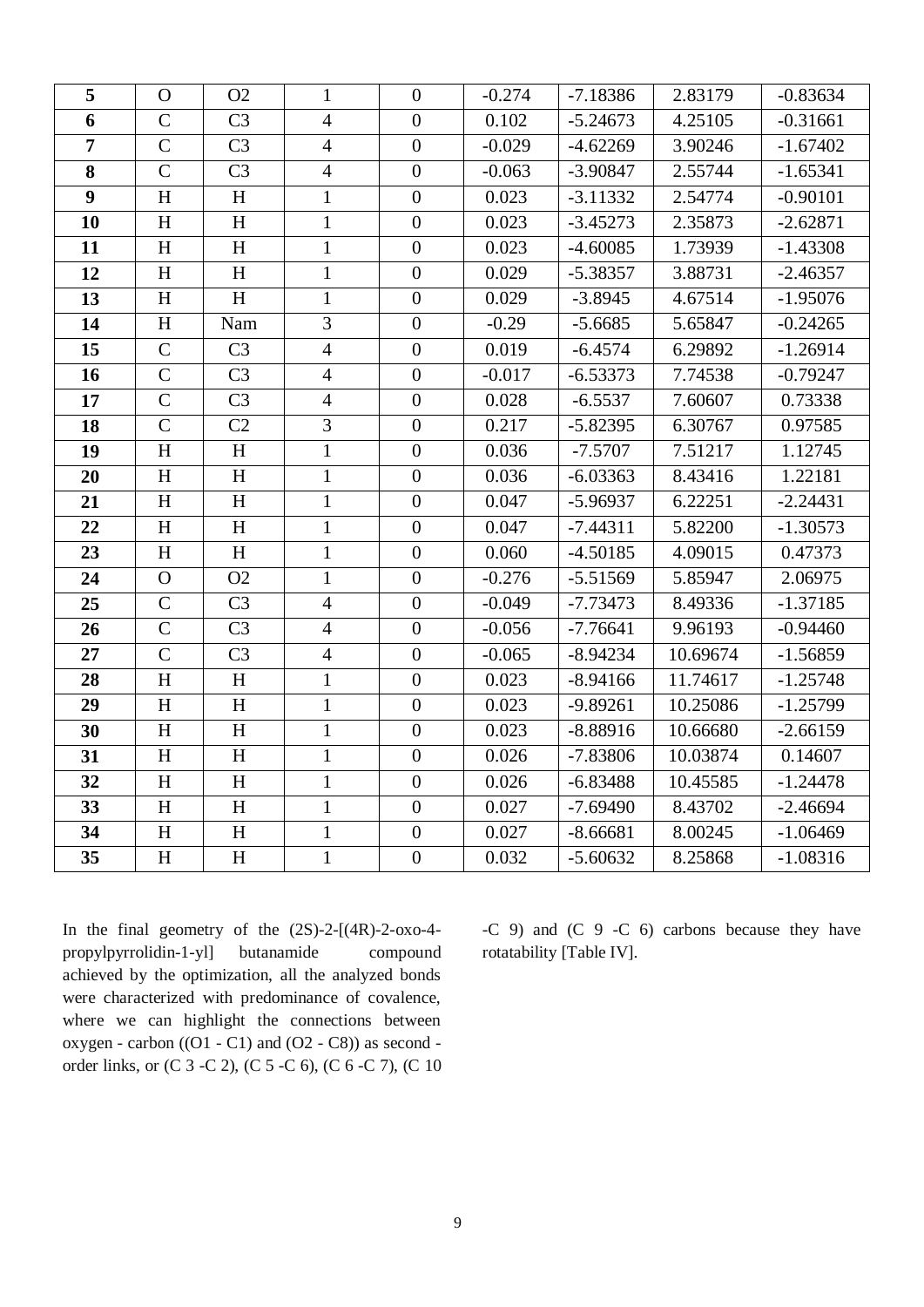| 5                | $\mathbf{O}$              | O <sub>2</sub>            | $\mathbf{1}$   | $\overline{0}$   | $-0.274$ | $-7.18386$ | 2.83179  | $-0.83634$ |
|------------------|---------------------------|---------------------------|----------------|------------------|----------|------------|----------|------------|
| 6                | $\mathsf{C}$              | C <sub>3</sub>            | $\overline{4}$ | $\overline{0}$   | 0.102    | $-5.24673$ | 4.25105  | $-0.31661$ |
| $\overline{7}$   | $\mathbf C$               | C <sub>3</sub>            | $\overline{4}$ | $\boldsymbol{0}$ | $-0.029$ | $-4.62269$ | 3.90246  | $-1.67402$ |
| 8                | $\overline{C}$            | $\overline{C3}$           | $\overline{4}$ | $\overline{0}$   | $-0.063$ | $-3.90847$ | 2.55744  | $-1.65341$ |
| $\boldsymbol{9}$ | $\boldsymbol{\mathrm{H}}$ | $\boldsymbol{\mathrm{H}}$ | $\mathbf{1}$   | $\boldsymbol{0}$ | 0.023    | $-3.11332$ | 2.54774  | $-0.90101$ |
| 10               | H                         | H                         | $\mathbf{1}$   | $\overline{0}$   | 0.023    | $-3.45273$ | 2.35873  | $-2.62871$ |
| 11               | H                         | H                         | $\mathbf{1}$   | $\overline{0}$   | 0.023    | $-4.60085$ | 1.73939  | $-1.43308$ |
| 12               | H                         | H                         | $\mathbf{1}$   | $\boldsymbol{0}$ | 0.029    | $-5.38357$ | 3.88731  | $-2.46357$ |
| 13               | H                         | H                         | $\mathbf{1}$   | $\overline{0}$   | 0.029    | $-3.8945$  | 4.67514  | $-1.95076$ |
| 14               | H                         | Nam                       | $\overline{3}$ | $\boldsymbol{0}$ | $-0.29$  | $-5.6685$  | 5.65847  | $-0.24265$ |
| 15               | $\mathbf C$               | C <sub>3</sub>            | $\overline{4}$ | $\boldsymbol{0}$ | 0.019    | $-6.4574$  | 6.29892  | $-1.26914$ |
| 16               | $\overline{C}$            | C <sub>3</sub>            | $\overline{4}$ | $\overline{0}$   | $-0.017$ | $-6.53373$ | 7.74538  | $-0.79247$ |
| 17               | $\mathcal{C}$             | C <sub>3</sub>            | $\overline{4}$ | $\boldsymbol{0}$ | 0.028    | $-6.5537$  | 7.60607  | 0.73338    |
| 18               | $\mathsf{C}$              | C <sub>2</sub>            | 3              | $\boldsymbol{0}$ | 0.217    | $-5.82395$ | 6.30767  | 0.97585    |
| 19               | H                         | H                         | $\mathbf{1}$   | $\boldsymbol{0}$ | 0.036    | $-7.5707$  | 7.51217  | 1.12745    |
| 20               | H                         | H                         | $\mathbf{1}$   | $\boldsymbol{0}$ | 0.036    | $-6.03363$ | 8.43416  | 1.22181    |
| 21               | H                         | H                         | $\mathbf{1}$   | $\overline{0}$   | 0.047    | $-5.96937$ | 6.22251  | $-2.24431$ |
| 22               | H                         | H                         | $\mathbf{1}$   | $\boldsymbol{0}$ | 0.047    | $-7.44311$ | 5.82200  | $-1.30573$ |
| 23               | H                         | $\boldsymbol{\mathrm{H}}$ | $\mathbf{1}$   | $\boldsymbol{0}$ | 0.060    | $-4.50185$ | 4.09015  | 0.47373    |
| 24               | $\overline{O}$            | O2                        | $\mathbf{1}$   | $\overline{0}$   | $-0.276$ | $-5.51569$ | 5.85947  | 2.06975    |
| 25               | $\mathbf C$               | C <sub>3</sub>            | $\overline{4}$ | $\boldsymbol{0}$ | $-0.049$ | $-7.73473$ | 8.49336  | $-1.37185$ |
| 26               | $\mathsf{C}$              | C <sub>3</sub>            | $\overline{4}$ | $\overline{0}$   | $-0.056$ | $-7.76641$ | 9.96193  | $-0.94460$ |
| 27               | $\mathcal{C}$             | C <sub>3</sub>            | $\overline{4}$ | $\boldsymbol{0}$ | $-0.065$ | $-8.94234$ | 10.69674 | $-1.56859$ |
| 28               | H                         | $\boldsymbol{\mathrm{H}}$ | $\mathbf{1}$   | $\boldsymbol{0}$ | 0.023    | $-8.94166$ | 11.74617 | $-1.25748$ |
| 29               | $\mathbf H$               | H                         | $\overline{1}$ | $\overline{0}$   | 0.023    | $-9.89261$ | 10.25086 | $-1.25799$ |
| 30               | $H_{\rm}$                 | H                         | $\mathbf{1}$   | $\boldsymbol{0}$ | 0.023    | $-8.88916$ | 10.66680 | $-2.66159$ |
| 31               | H                         | H                         | $\mathbf{1}$   | $\overline{0}$   | 0.026    | $-7.83806$ | 10.03874 | 0.14607    |
| 32               | H                         | H                         | $\mathbf{1}$   | $\boldsymbol{0}$ | 0.026    | $-6.83488$ | 10.45585 | $-1.24478$ |
| 33               | H                         | H                         | $\mathbf{1}$   | $\boldsymbol{0}$ | 0.027    | $-7.69490$ | 8.43702  | $-2.46694$ |
| 34               | H                         | H                         | $\mathbf{1}$   | $\overline{0}$   | 0.027    | $-8.66681$ | 8.00245  | $-1.06469$ |
| 35               | $H_{\rm}$                 | H                         | $\mathbf{1}$   | $\overline{0}$   | 0.032    | $-5.60632$ | 8.25868  | $-1.08316$ |

In the final geometry of the  $(2S)-2-[(4R)-2-0X0-4$ propylpyrrolidin-1-yl] butanamide compound achieved by the optimization, all the analyzed bonds were characterized with predominance of covalence, where we can highlight the connections between oxygen - carbon ((O1 - C1) and (O2 - C8)) as second order links, or (C 3 -C 2), (C 5 -C 6), (C 6 -C 7), (C 10 -C 9) and (C 9 -C 6) carbons because they have rotatability [Table IV].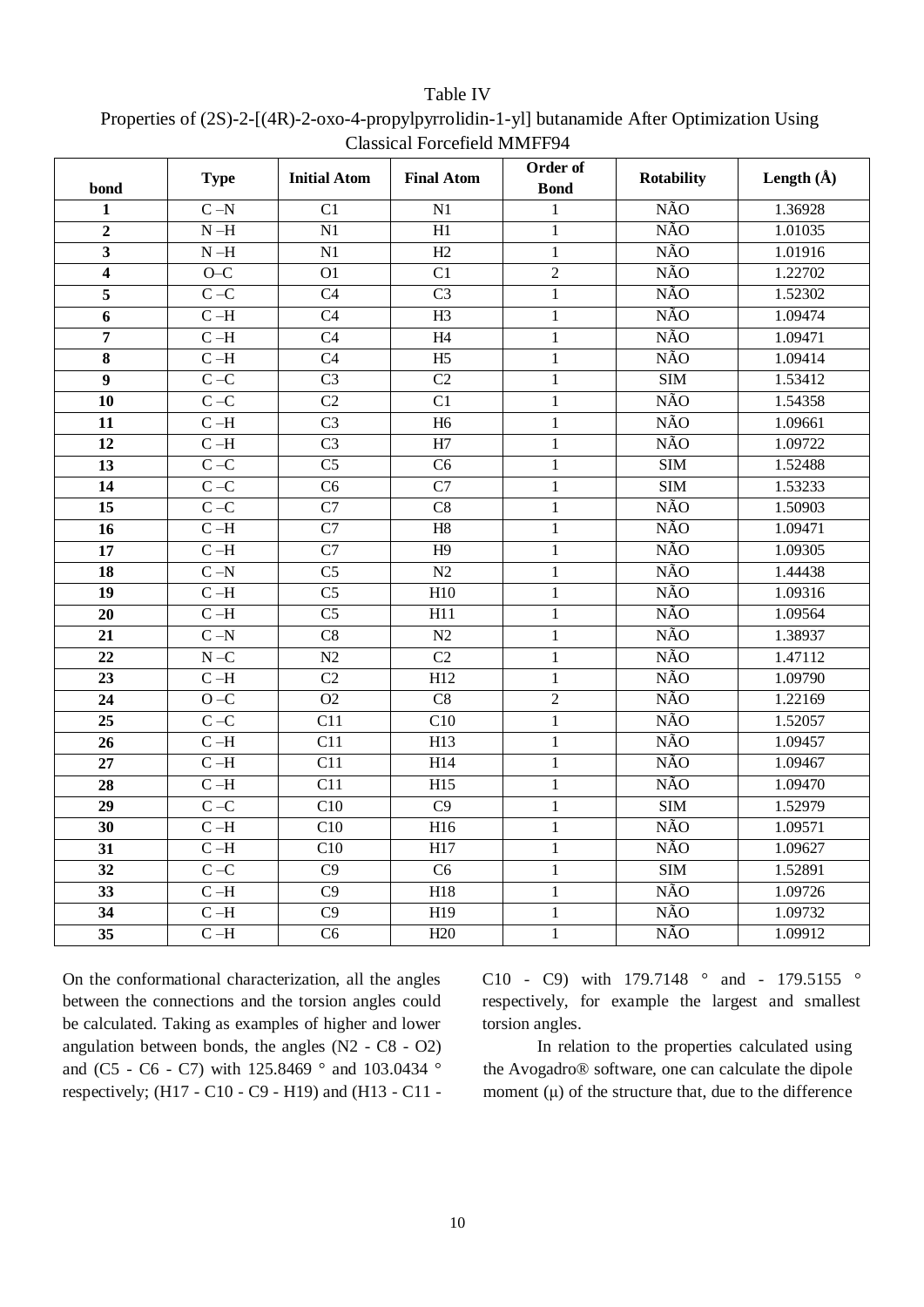| bond                    | <b>Type</b>               | <b>Initial Atom</b>    | <b>Final Atom</b> | Order of<br><b>Bond</b> | <b>Rotability</b>       | Length $(\AA)$ |
|-------------------------|---------------------------|------------------------|-------------------|-------------------------|-------------------------|----------------|
| 1                       | $C - N$                   | C <sub>1</sub>         | N1                | 1                       | <b>NÃO</b>              | 1.36928        |
| $\mathbf{2}$            | $N-H$                     | $\overline{N1}$        | $\overline{H1}$   | $\mathbf{1}$            | <b>NÃO</b>              | 1.01035        |
| 3                       | $\mathbf{N}$ –H           | N1                     | H2                | $\mathbf{1}$            | <b>NÃO</b>              | 1.01916        |
| $\overline{\mathbf{4}}$ | $O-C$                     | O <sub>1</sub>         | $\overline{C1}$   | $\overline{2}$          | <b>NÃO</b>              | 1.22702        |
| 5                       | $\mathbf{C}$ –C           | C <sub>4</sub>         | C <sub>3</sub>    | $\mathbf{1}$            | <b>NÃO</b>              | 1.52302        |
| 6                       | $C-H$                     | $\overline{C4}$        | H3                | $\mathbf{1}$            | <b>NÃO</b>              | 1.09474        |
| $\overline{7}$          | $C-H$                     | C <sub>4</sub>         | H4                | $\mathbf{1}$            | <b>NÃO</b>              | 1.09471        |
| 8                       | $C-H$                     | $\overline{C4}$        | $\overline{H5}$   | $\mathbf{1}$            | <b>NÃO</b>              | 1.09414        |
| $\overline{9}$          | $C-C$                     | $\overline{C}3$        | $\overline{C2}$   | $\mathbf{1}$            | $\overline{\text{SIM}}$ | 1.53412        |
| 10                      | $C-C$                     | $\overline{C2}$        | $\overline{C1}$   | $\mathbf{1}$            | <b>NÃO</b>              | 1.54358        |
| 11                      | $C-H$                     | $\overline{C}3$        | H <sub>6</sub>    | $\mathbf{1}$            | <b>NÃO</b>              | 1.09661        |
| $\overline{12}$         | $C-H$                     | $\overline{C}3$        | $\overline{H7}$   | $\mathbf{1}$            | <b>NÃO</b>              | 1.09722        |
| 13                      | $C-C$                     | $\overline{C5}$        | C6                | $\mathbf{1}$            | <b>SIM</b>              | 1.52488        |
| $\overline{14}$         | $C-C$                     | $\overline{\text{C6}}$ | $\overline{C7}$   | $\mathbf{1}$            | SIM                     | 1.53233        |
| 15                      | $C-C$                     | $\overline{C7}$        | C8                | $\mathbf{1}$            | <b>NÃO</b>              | 1.50903        |
| $\overline{16}$         | $C-H$                     | $\overline{C7}$        | H8                | $\mathbf{1}$            | <b>NÃO</b>              | 1.09471        |
| 17                      | $C-H$                     | $\overline{C7}$        | H <sub>9</sub>    | $\mathbf{1}$            | <b>NÃO</b>              | 1.09305        |
| 18                      | $C-N$                     | $\overline{C5}$        | $\overline{N2}$   | $\mathbf{1}$            | <b>NÃO</b>              | 1.44438        |
| 19                      | $C-H$                     | $\overline{C5}$        | H10               | $\mathbf{1}$            | <b>NÃO</b>              | 1.09316        |
| 20                      | $C-H$                     | $\overline{\text{C5}}$ | H11               | $\mathbf{1}$            | <b>NÃO</b>              | 1.09564        |
| 21                      | $\rm C$ –N                | $\overline{C8}$        | N2                | $\mathbf{1}$            | <b>NÃO</b>              | 1.38937        |
| 22                      | $\mathbf{N} - \mathbf{C}$ | N2                     | $\overline{C2}$   | $\mathbf{1}$            | <b>NÃO</b>              | 1.47112        |
| $\overline{23}$         | $C-H$                     | C2                     | $\overline{H12}$  | $\mathbf{1}$            | <b>NÃO</b>              | 1.09790        |
| 24                      | $O - C$                   | $\overline{O2}$        | $\overline{C8}$   | $\overline{2}$          | <b>NÃO</b>              | 1.22169        |
| $\overline{25}$         | $C-C$                     | $\overline{C11}$       | $\overline{C10}$  | $\mathbf{1}$            | <b>NÃO</b>              | 1.52057        |
| 26                      | $C-H$                     | $\overline{C11}$       | $\overline{H13}$  | $\mathbf{1}$            | <b>NÃO</b>              | 1.09457        |
| $\overline{27}$         | $C-H$                     | $\overline{C11}$       | $\overline{H14}$  | $\mathbf{1}$            | <b>NÃO</b>              | 1.09467        |
| $\overline{28}$         | $C-H$                     | $\overline{C11}$       | $\overline{H15}$  | $\mathbf{1}$            | <b>NÃO</b>              | 1.09470        |
| 29                      | $C-C$                     | $\overline{C10}$       | $\overline{C9}$   | $\mathbf{1}$            | $\overline{\text{SIM}}$ | 1.52979        |
| $\overline{30}$         | $C-H$                     | $\overline{C10}$       | $\overline{H16}$  | $\mathbf{1}$            | <b>NÃO</b>              | 1.09571        |
| 31                      | $\rm C$ –H                | C10                    | H17               | $\mathbf{1}$            | <b>NÃO</b>              | 1.09627        |
| $\overline{32}$         | $C-C$                     | $\overline{C9}$        | $\overline{C6}$   | $\mathbf{1}$            | $\overline{\text{SIM}}$ | 1.52891        |
| 33                      | $\rm C$ –H                | C <sub>9</sub>         | H18               | $\mathbf{1}$            | NÃO                     | 1.09726        |
| 34                      | $C-H$                     | $\overline{C9}$        | H19               | $\mathbf{1}$            | <b>NÃO</b>              | 1.09732        |
| 35                      | $\rm C$ –H                | C <sub>6</sub>         | H <sub>20</sub>   | $\,1$                   | <b>NÃO</b>              | 1.09912        |

# Table IV Properties of (2S)-2-[(4R)-2-oxo-4-propylpyrrolidin-1-yl] butanamide After Optimization Using Classical Forcefield MMFF94

On the conformational characterization, all the angles between the connections and the torsion angles could be calculated. Taking as examples of higher and lower angulation between bonds, the angles (N2 - C8 - O2) and (C5 - C6 - C7) with 125.8469 ° and 103.0434 ° respectively; (H17 - C10 - C9 - H19) and (H13 - C11 - C10 - C9) with 179.7148 ° and - 179.5155 ° respectively, for example the largest and smallest torsion angles.

In relation to the properties calculated using the Avogadro® software, one can calculate the dipole moment  $(\mu)$  of the structure that, due to the difference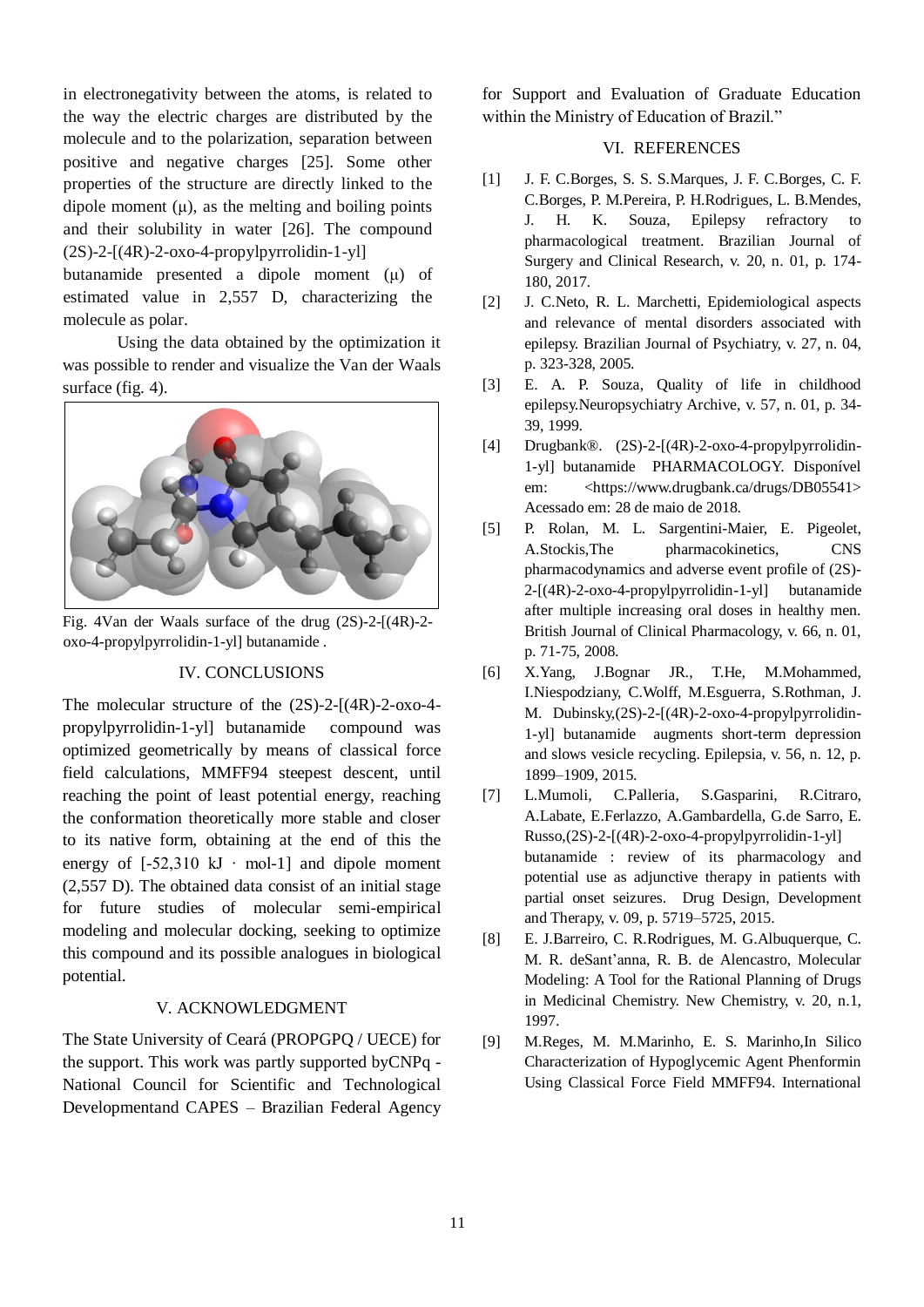in electronegativity between the atoms, is related to the way the electric charges are distributed by the molecule and to the polarization, separation between positive and negative charges [25]. Some other properties of the structure are directly linked to the dipole moment  $(\mu)$ , as the melting and boiling points and their solubility in water [26]. The compound  $(2S)$ -2- $[(4R)$ -2- $\alpha$ xo-4-propylpyrrolidin-1-yll

butanamide presented a dipole moment (μ) of estimated value in 2,557 D, characterizing the molecule as polar.

Using the data obtained by the optimization it was possible to render and visualize the Van der Waals surface (fig. 4).



Fig. 4Van der Waals surface of the drug (2S)-2-[(4R)-2 oxo-4-propylpyrrolidin-1-yl] butanamide .

# IV. CONCLUSIONS

The molecular structure of the (2S)-2-[(4R)-2-oxo-4 propylpyrrolidin-1-yl] butanamide compound was optimized geometrically by means of classical force field calculations, MMFF94 steepest descent, until reaching the point of least potential energy, reaching the conformation theoretically more stable and closer to its native form, obtaining at the end of this the energy of  $[-52,310 \text{ kJ} \cdot \text{mol-1}]$  and dipole moment (2,557 D). The obtained data consist of an initial stage for future studies of molecular semi-empirical modeling and molecular docking, seeking to optimize this compound and its possible analogues in biological potential.

## V. ACKNOWLEDGMENT

The State University of Ceará (PROPGPQ / UECE) for the support. This work was partly supported byCNPq - National Council for Scientific and Technological Developmentand CAPES – Brazilian Federal Agency

for Support and Evaluation of Graduate Education within the Ministry of Education of Brazil."

### VI. REFERENCES

- [1] J. F. C.Borges, S. S. S.Marques, J. F. C.Borges, C. F. C.Borges, P. M.Pereira, P. H.Rodrigues, L. B.Mendes, J. H. K. Souza, Epilepsy refractory to pharmacological treatment. Brazilian Journal of Surgery and Clinical Research, v. 20, n. 01, p. 174- 180, 2017.
- [2] J. C.Neto, R. L. Marchetti, Epidemiological aspects and relevance of mental disorders associated with epilepsy. Brazilian Journal of Psychiatry, v. 27, n. 04, p. 323-328, 2005.
- [3] E. A. P. Souza, Quality of life in childhood epilepsy.Neuropsychiatry Archive, v. 57, n. 01, p. 34- 39, 1999.
- [4] Drugbank®. (2S)-2-[(4R)-2-oxo-4-propylpyrrolidin-1-yl] butanamide PHARMACOLOGY. Disponível em: <https://www.drugbank.ca/drugs/DB05541> Acessado em: 28 de maio de 2018.
- [5] P. Rolan, M. L. Sargentini-Maier, E. Pigeolet, A.Stockis,The pharmacokinetics, CNS pharmacodynamics and adverse event profile of (2S)-  $2-[4R)-2-0X0-4-propylyrrolidin-1-y]$  butanamide after multiple increasing oral doses in healthy men. British Journal of Clinical Pharmacology, v. 66, n. 01, p. 71-75, 2008.
- [6] X.Yang, J.Bognar JR., T.He, M.Mohammed, I.Niespodziany, C.Wolff, M.Esguerra, S.Rothman, J. M. Dubinsky,(2S)-2-[(4R)-2-oxo-4-propylpyrrolidin-1-yl] butanamide augments short-term depression and slows vesicle recycling. Epilepsia, v. 56, n. 12, p. 1899–1909, 2015.
- [7] L.Mumoli, C.Palleria, S.Gasparini, R.Citraro, A.Labate, E.Ferlazzo, A.Gambardella, G.de Sarro, E.  $Russo,(2S)-2-[(4R)-2-oxo-4-propylpyrrolidin-1-yl]$ butanamide : review of its pharmacology and potential use as adjunctive therapy in patients with partial onset seizures. Drug Design, Development and Therapy, v. 09, p. 5719–5725, 2015.
- [8] E. J.Barreiro, C. R.Rodrigues, M. G.Albuquerque, C. M. R. deSant'anna, R. B. de Alencastro, Molecular Modeling: A Tool for the Rational Planning of Drugs in Medicinal Chemistry. New Chemistry, v. 20, n.1, 1997.
- [9] M.Reges, M. M.Marinho, E. S. Marinho,In Silico Characterization of Hypoglycemic Agent Phenformin Using Classical Force Field MMFF94. International